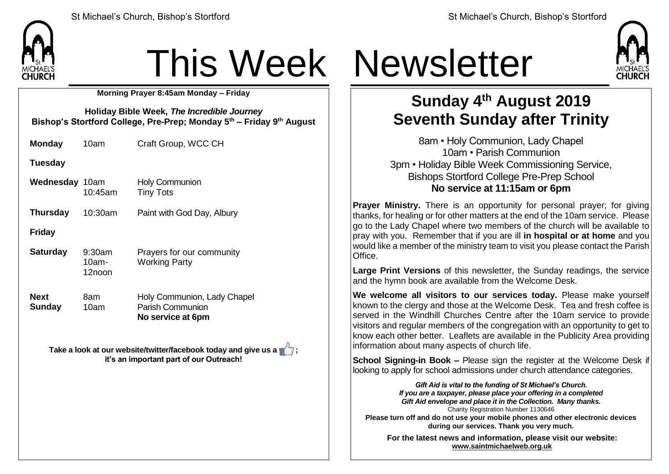

## This Week Newsletter

**Morning Prayer 8:45am Monday – Friday**

**Holiday Bible Week,** *The Incredible Journey* **Bishop's Stortford College, Pre-Prep; Monday 5 th – Friday 9 th August**

**Monday** 10am Craft Group, WCC CH

**Tuesday**

**Wednesday** 10am 10:45am Holy Communion Tiny Tots

**Thursday** 10:30am Paint with God Day, Albury

**Friday**

**Saturday** 9:30am 10am-12noon Prayers for our community Working Party

**Next Sunday** 8am 10am Holy Communion, Lady Chapel Parish Communion **No service at 6pm**

**Take a look at our website/twitter/facebook today and give us a**  $\mathbb{Z}$ **: it's an important part of our Outreach!**



## **Sunday 4 th August 2019 Seventh Sunday after Trinity**

8am • Holy Communion, Lady Chapel 10am • Parish Communion 3pm • Holiday Bible Week Commissioning Service, Bishops Stortford College Pre-Prep School **No service at 11:15am or 6pm**

**Prayer Ministry.** There is an opportunity for personal prayer: for giving thanks, for healing or for other matters at the end of the 10am service. Please go to the Lady Chapel where two members of the church will be available to pray with you. Remember that if you are ill **in hospital or at home** and you would like a member of the ministry team to visit you please contact the Parish Office.

**Large Print Versions** of this newsletter, the Sunday readings, the service and the hymn book are available from the Welcome Desk.

**We welcome all visitors to our services today.** Please make yourself known to the clergy and those at the Welcome Desk. Tea and fresh coffee is served in the Windhill Churches Centre after the 10am service to provide visitors and regular members of the congregation with an opportunity to get to know each other better. Leaflets are available in the Publicity Area providing information about many aspects of church life.

**School Signing-in Book –** Please sign the register at the Welcome Desk if looking to apply for school admissions under church attendance categories.

*Gift Aid is vital to the funding of St Michael's Church. If you are a taxpayer, please place your offering in a completed Gift Aid envelope and place it in the Collection. Many thanks.* Charity Registration Number 1130646 **Please turn off and do not use your mobile phones and other electronic devices during our services. Thank you very much.**

**For the latest news and information, please visit our website: [www.saintmichaelweb.org.uk](http://www.saintmichaelweb.org.uk/)**